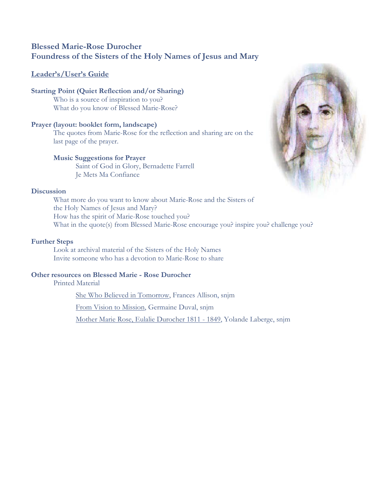# **Blessed Marie-Rose Durocher Foundress of the Sisters of the Holy Names of Jesus and Mary**

# **Leader's/User's Guide**

### **Starting Point (Quiet Reflection and/or Sharing)** Who is a source of inspiration to you? What do you know of Blessed Marie-Rose?

# **Prayer (layout: booklet form, landscape)**

The quotes from Marie-Rose for the reflection and sharing are on the last page of the prayer.

## **Music Suggestions for Prayer**

Saint of God in Glory, Bernadette Farrell Je Mets Ma Confiance

## **Discussion**

What more do you want to know about Marie-Rose and the Sisters of the Holy Names of Jesus and Mary? How has the spirit of Marie-Rose touched you? What in the quote(s) from Blessed Marie-Rose encourage you? inspire you? challenge you?

# **Further Steps**

Look at archival material of the Sisters of the Holy Names Invite someone who has a devotion to Marie-Rose to share

## **Other resources on Blessed Marie - Rose Durocher**

Printed Material

She Who Believed in Tomorrow, Frances Allison, snjm

From Vision to Mission, Germaine Duval, snjm

Mother Marie Rose, Eulalie Durocher 1811 - 1849, Yolande Laberge, snjm

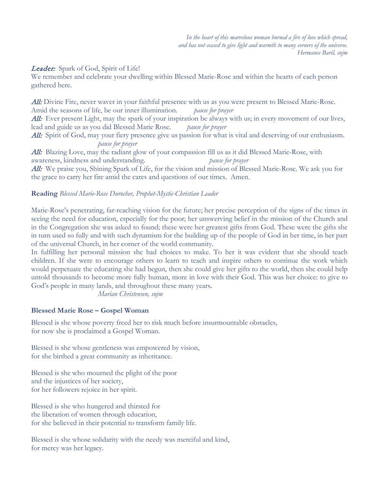*In the heart of this marvelous woman burned a fire of love which spread, and has not ceased to give light and warmth to many corners of the universe. Hermance Baril, snjm*

### Leader: Spark of God, Spirit of Life!

We remember and celebrate your dwelling within Blessed Marie-Rose and within the hearts of each person gathered here.

All: Divine Fire, never waver in your faithful presence with us as you were present to Blessed Marie-Rose. Amid the seasons of life, be our inner illumination. *pause for prayer* All: Ever present Light, may the spark of your inspiration be always with us; in every movement of our lives, lead and guide us as you did Blessed Marie Rose. *pause for prayer* **All:** Spirit of God, may your fiery presence give us passion for what is vital and deserving of our enthusiasm. *pause for prayer* All: Blazing Love, may the radiant glow of your compassion fill us as it did Blessed Marie-Rose, with awareness, kindness and understanding. *pause for prayer*

All: We praise you, Shining Spark of Life, for the vision and mission of Blessed Marie-Rose. We ask you for the grace to carry her fire amid the cares and questions of our times. Amen.

#### **Reading** *Blessed Marie-Rose Durocher, Prophet-Mystic-Christian Leader*

Marie-Rose's penetrating, far-reaching vision for the future; her precise perception of the signs of the times in seeing the need for education, especially for the poor; her unswerving belief in the mission of the Church and in the Congregation she was asked to found; these were her greatest gifts from God. These were the gifts she in turn used so fully and with such dynamism for the building up of the people of God in her time, in her part of the universal Church, in her corner of the world community.

In fulfilling her personal mission she had choices to make. To her it was evident that she should teach children. If she were to encourage others to learn to teach and inspire others to continue the work which would perpetuate the educating she had begun, then she could give her gifts to the world, then she could help untold thousands to become more fully human, more in love with their God. This was her choice: to give to God's people in many lands, and throughout these many years.

*Marian Christensen, snjm* 

#### **Blessed Marie Rose – Gospel Woman**

Blessed is she whose poverty freed her to risk much before insurmountable obstacles, for now she is proclaimed a Gospel Woman.

Blessed is she whose gentleness was empowered by vision, for she birthed a great community as inheritance.

Blessed is she who mourned the plight of the poor and the injustices of her society, for her followers rejoice in her spirit.

Blessed is she who hungered and thirsted for the liberation of women through education, for she believed in their potential to transform family life.

Blessed is she whose solidarity with the needy was merciful and kind, for mercy was her legacy.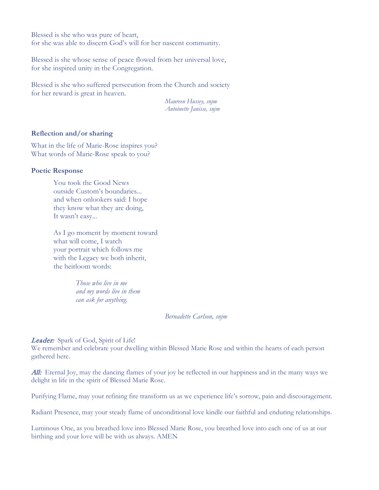Blessed is she who was pure of heart, for she was able to discern God's will for her nascent community.

Blessed is she whose sense of peace flowed from her universal love, for she inspired unity in the Congregation.

Blessed is she who suffered persecution from the Church and society for her reward is great in heaven.

> *Maureen Hussey, snjm Antoinette Janisse, snjm*

#### **Reflection and/or sharing**

What in the life of Marie-Rose inspires you? What words of Marie-Rose speak to you?

#### **Poetic Response**

You took the Good News outside Custom's boundaries... and when onlookers said: I hope they know what they are doing, It wasn't easy...

As I go moment by moment toward what will come, I watch your portrait which follows me with the Legacy we both inherit, the heirloom words:

> *Those who live in me and my words live in them can ask for anything*.

#### *Bernadette Carlson, snjm*

#### Leader:Spark of God, Spirit of Life!

We remember and celebrate your dwelling within Blessed Marie Rose and within the hearts of each person gathered here.

All: Eternal Joy, may the dancing flames of your joy be reflected in our happiness and in the many ways we delight in life in the spirit of Blessed Marie Rose.

Purifying Flame, may your refining fire transform us as we experience life's sorrow, pain and discouragement.

Radiant Presence, may your steady flame of unconditional love kindle our faithful and enduring relationships.

Luminous One, as you breathed love into Blessed Marie Rose, you breathed love into each one of us at our birthing and your love will be with us always. AMEN